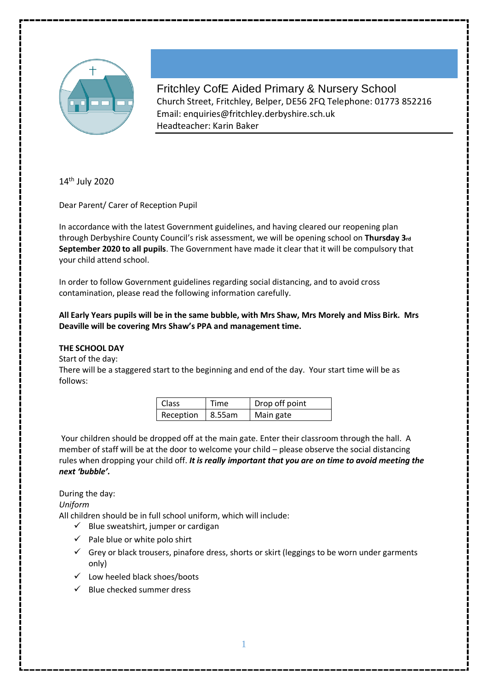

Fritchley CofE Aided Primary & Nursery School Church Street, Fritchley, Belper, DE56 2FQ Telephone: 01773 852216 Email: enquiries@fritchley.derbyshire.sch.uk Headteacher: Karin Baker

14<sup>th</sup> July 2020

Dear Parent/ Carer of Reception Pupil

In accordance with the latest Government guidelines, and having cleared our reopening plan through Derbyshire County Council's risk assessment, we will be opening school on **Thursday 3rd September 2020 to all pupils**. The Government have made it clear that it will be compulsory that your child attend school.

In order to follow Government guidelines regarding social distancing, and to avoid cross contamination, please read the following information carefully.

**All Early Years pupils will be in the same bubble, with Mrs Shaw, Mrs Morely and Miss Birk. Mrs Deaville will be covering Mrs Shaw's PPA and management time.** 

# **THE SCHOOL DAY**

Start of the day:

There will be a staggered start to the beginning and end of the day. Your start time will be as follows:

| <b>Class</b>     | <b>Time</b> | Drop off point |
|------------------|-------------|----------------|
| Reception 8.55am |             | Main gate      |

Your children should be dropped off at the main gate. Enter their classroom through the hall. A member of staff will be at the door to welcome your child – please observe the social distancing rules when dropping your child off. *It is really important that you are on time to avoid meeting the next 'bubble'.* 

During the day:

*Uniform* 

All children should be in full school uniform, which will include:

- $\checkmark$  Blue sweatshirt, jumper or cardigan
- $\checkmark$  Pale blue or white polo shirt
- $\checkmark$  Grey or black trousers, pinafore dress, shorts or skirt (leggings to be worn under garments only)
- $\checkmark$  Low heeled black shoes/boots
- $\checkmark$  Blue checked summer dress